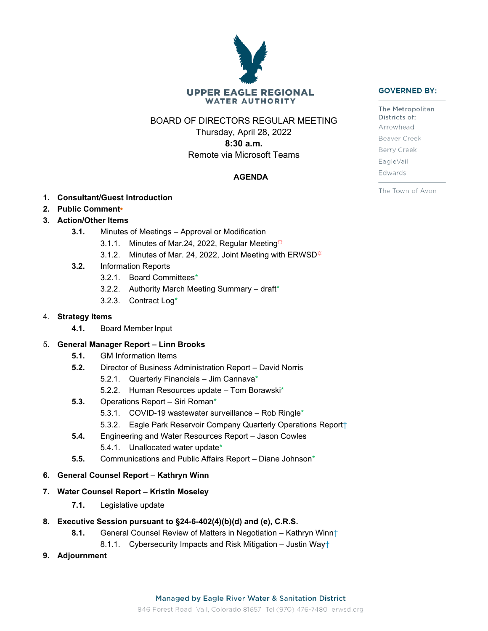# **UPPER EAGLE REGIONAL WATER AUTHORITY**

BOARD OF DIRECTORS REGULAR MEETING

Thursday, April 28, 2022 **8:30 a.m.** Remote via Microsoft Teams

# **AGENDA**

- **1. Consultant/Guest Introduction**
- **2. Public Comment•**
- **3. Action/Other Items**
	- **3.1.** Minutes of Meetings Approval or Modification
		- 3.1.1. Minutes of Mar.24, 2022, Regular Meeting $\ddot{\varphi}$
		- 3.1.2. Minutes of Mar. 24, 2022, Joint Meeting with ERWSD $\ddot{\varphi}$
	- **3.2.** Information Reports
		- 3.2.1. Board Committees\*
		- 3.2.2. Authority March Meeting Summary draft\*
		- 3.2.3. Contract Log\*

### 4. **Strategy Items**

**4.1.** Board Member Input

# 5. **General Manager Report – Linn Brooks**

- **5.1.** GM Information Items
- **5.2.** Director of Business Administration Report David Norris
	- 5.2.1. Quarterly Financials Jim Cannava\*
	- 5.2.2. Human Resources update Tom Borawski\*
- **5.3.** Operations Report Siri Roman\*
	- 5.3.1. COVID-19 wastewater surveillance Rob Ringle\*
	- 5.3.2. Eagle Park Reservoir Company Quarterly Operations Report†
- **5.4.** Engineering and Water Resources Report Jason Cowles 5.4.1. Unallocated water update\*
- **5.5.** Communications and Public Affairs Report Diane Johnson\*

#### **6. General Counsel Report** – **Kathryn Winn**

- **7. Water Counsel Report – Kristin Moseley**
	- **7.1.** Legislative update
- **8. Executive Session pursuant to §24-6-402(4)(b)(d) and (e), C.R.S.**
	- **8.1.** General Counsel Review of Matters in Negotiation Kathryn Winn†
		- 8.1.1. Cybersecurity Impacts and Risk Mitigation Justin Way†
- **9. Adjournment**



The Metropolitan Districts of: Arrowhead Beaver Creek Berry Creek EagleVail Edwards

The Town of Avon